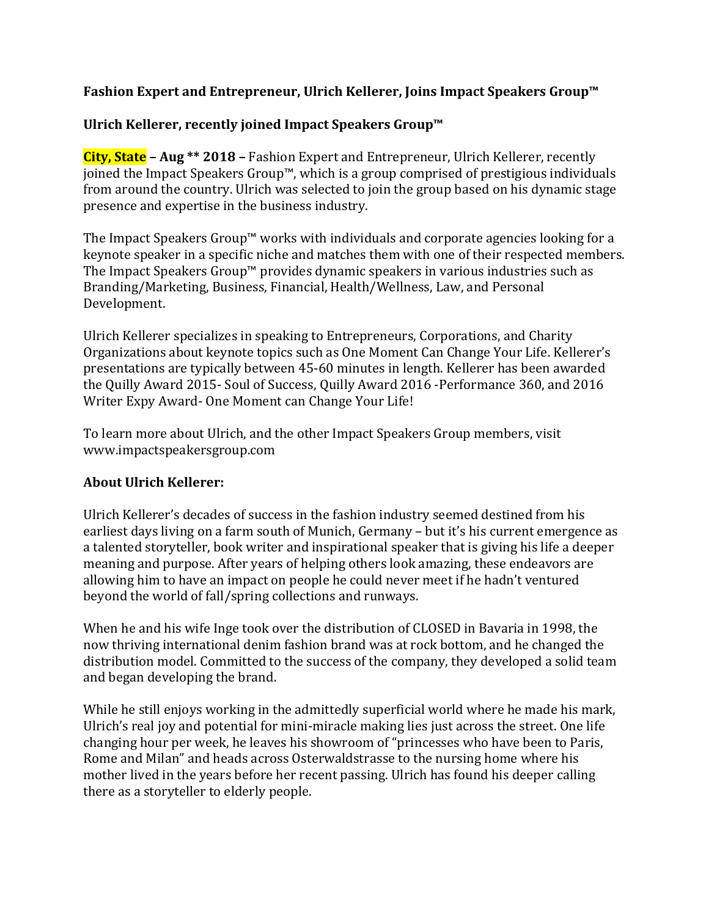## **Fashion Expert and Entrepreneur, Ulrich Kellerer, Joins Impact Speakers Group™**

## **Ulrich Kellerer, recently joined Impact Speakers Group™**

**City, State – Aug \*\* 2018 –** Fashion Expert and Entrepreneur, Ulrich Kellerer, recently joined the Impact Speakers Group™, which is a group comprised of prestigious individuals from around the country. Ulrich was selected to join the group based on his dynamic stage presence and expertise in the business industry.

The Impact Speakers Group™ works with individuals and corporate agencies looking for a keynote speaker in a specific niche and matches them with one of their respected members. The Impact Speakers Group™ provides dynamic speakers in various industries such as Branding/Marketing, Business, Financial, Health/Wellness, Law, and Personal Development.

Ulrich Kellerer specializes in speaking to Entrepreneurs, Corporations, and Charity Organizations about keynote topics such as One Moment Can Change Your Life. Kellerer's presentations are typically between 45-60 minutes in length. Kellerer has been awarded the Quilly Award 2015- Soul of Success, Quilly Award 2016 -Performance 360, and 2016 Writer Expy Award- One Moment can Change Your Life!

To learn more about Ulrich, and the other Impact Speakers Group members, visit www.impactspeakersgroup.com

## **About Ulrich Kellerer:**

Ulrich Kellerer's decades of success in the fashion industry seemed destined from his earliest days living on a farm south of Munich, Germany – but it's his current emergence as a talented storyteller, book writer and inspirational speaker that is giving his life a deeper meaning and purpose. After years of helping others look amazing, these endeavors are allowing him to have an impact on people he could never meet if he hadn't ventured beyond the world of fall/spring collections and runways.

When he and his wife Inge took over the distribution of CLOSED in Bavaria in 1998, the now thriving international denim fashion brand was at rock bottom, and he changed the distribution model. Committed to the success of the company, they developed a solid team and began developing the brand.

While he still enjoys working in the admittedly superficial world where he made his mark, Ulrich's real joy and potential for mini-miracle making lies just across the street. One life changing hour per week, he leaves his showroom of "princesses who have been to Paris, Rome and Milan" and heads across Osterwaldstrasse to the nursing home where his mother lived in the years before her recent passing. Ulrich has found his deeper calling there as a storyteller to elderly people.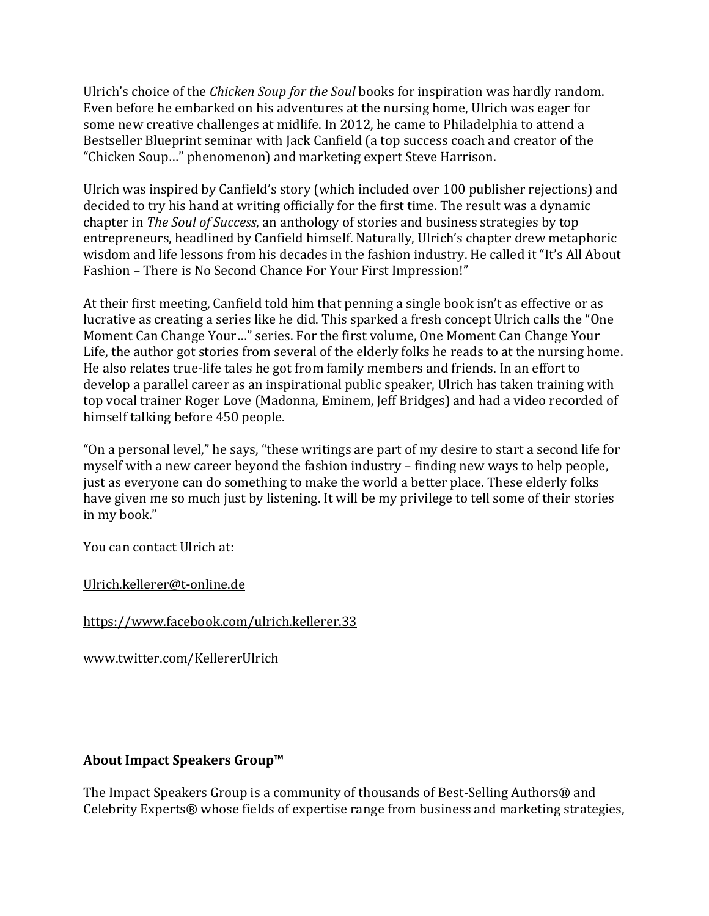Ulrich's choice of the *Chicken Soup for the Soul* books for inspiration was hardly random. Even before he embarked on his adventures at the nursing home, Ulrich was eager for some new creative challenges at midlife. In 2012, he came to Philadelphia to attend a Bestseller Blueprint seminar with Jack Canfield (a top success coach and creator of the "Chicken Soup…" phenomenon) and marketing expert Steve Harrison.

Ulrich was inspired by Canfield's story (which included over 100 publisher rejections) and decided to try his hand at writing officially for the first time. The result was a dynamic chapter in *The Soul of Success*, an anthology of stories and business strategies by top entrepreneurs, headlined by Canfield himself. Naturally, Ulrich's chapter drew metaphoric wisdom and life lessons from his decades in the fashion industry. He called it "It's All About Fashion – There is No Second Chance For Your First Impression!"

At their first meeting, Canfield told him that penning a single book isn't as effective or as lucrative as creating a series like he did. This sparked a fresh concept Ulrich calls the "One Moment Can Change Your…" series. For the first volume, One Moment Can Change Your Life, the author got stories from several of the elderly folks he reads to at the nursing home. He also relates true-life tales he got from family members and friends. In an effort to develop a parallel career as an inspirational public speaker, Ulrich has taken training with top vocal trainer Roger Love (Madonna, Eminem, Jeff Bridges) and had a video recorded of himself talking before 450 people.

"On a personal level," he says, "these writings are part of my desire to start a second life for myself with a new career beyond the fashion industry – finding new ways to help people, just as everyone can do something to make the world a better place. These elderly folks have given me so much just by listening. It will be my privilege to tell some of their stories in my book."

You can contact Ulrich at:

[Ulrich.kellerer@t-online.de](mailto:Ulrich.kellerer@t-online.de)

<https://www.facebook.com/ulrich.kellerer.33>

[www.twitter.com/KellererUlrich](http://www.twitter.com/KellererUlrich)

## **About Impact Speakers Group™**

The Impact Speakers Group is a community of thousands of Best-Selling Authors<sup>®</sup> and Celebrity Experts® whose fields of expertise range from business and marketing strategies,